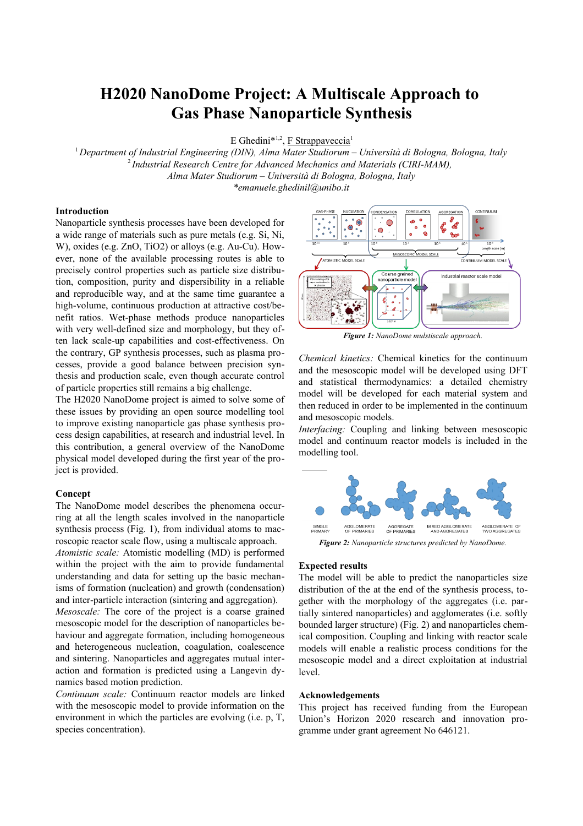# **H2020 NanoDome Project: A Multiscale Approach to Gas Phase Nanoparticle Synthesis**

E Ghedini<sup>\*1,2</sup>, **F Strappaveccia**<sup>1</sup>

<sup>1</sup>*Department of Industrial Engineering (DIN), Alma Mater Studiorum – Università di Bologna, Bologna, Italy* <sup>2</sup>*Industrial Research Centre for Advanced Mechanics and Materials (CIRI-MAM), Alma Mater Studiorum – Università di Bologna, Bologna, Italy \*emanuele.ghedinil@unibo.it*

### **Introduction**

Nanoparticle synthesis processes have been developed for a wide range of materials such as pure metals (e.g. Si, Ni, W), oxides (e.g. ZnO, TiO2) or alloys (e.g. Au-Cu). However, none of the available processing routes is able to precisely control properties such as particle size distribution, composition, purity and dispersibility in a reliable and reproducible way, and at the same time guarantee a high-volume, continuous production at attractive cost/benefit ratios. Wet-phase methods produce nanoparticles with very well-defined size and morphology, but they often lack scale-up capabilities and cost-effectiveness. On the contrary, GP synthesis processes, such as plasma processes, provide a good balance between precision synthesis and production scale, even though accurate control of particle properties still remains a big challenge.

The H2020 NanoDome project is aimed to solve some of these issues by providing an open source modelling tool to improve existing nanoparticle gas phase synthesis process design capabilities, at research and industrial level. In this contribution, a general overview of the NanoDome physical model developed during the first year of the project is provided.

#### **Concept**

The NanoDome model describes the phenomena occurring at all the length scales involved in the nanoparticle synthesis process (Fig. 1), from individual atoms to macroscopic reactor scale flow, using a multiscale approach.

*Atomistic scale:* Atomistic modelling (MD) is performed within the project with the aim to provide fundamental understanding and data for setting up the basic mechanisms of formation (nucleation) and growth (condensation) and inter-particle interaction (sintering and aggregation).

*Mesoscale:* The core of the project is a coarse grained mesoscopic model for the description of nanoparticles behaviour and aggregate formation, including homogeneous and heterogeneous nucleation, coagulation, coalescence and sintering. Nanoparticles and aggregates mutual interaction and formation is predicted using a Langevin dynamics based motion prediction.

*Continuum scale:* Continuum reactor models are linked with the mesoscopic model to provide information on the environment in which the particles are evolving (i.e. p, T, species concentration).



*Figure 1: NanoDome mulstiscale approach.*

*Chemical kinetics:* Chemical kinetics for the continuum and the mesoscopic model will be developed using DFT and statistical thermodynamics: a detailed chemistry model will be developed for each material system and then reduced in order to be implemented in the continuum and mesoscopic models.

*Interfacing:* Coupling and linking between mesoscopic model and continuum reactor models is included in the modelling tool.



*Figure 2: Nanoparticle structures predicted by NanoDome.*

#### **Expected results**

The model will be able to predict the nanoparticles size distribution of the at the end of the synthesis process, together with the morphology of the aggregates (i.e. partially sintered nanoparticles) and agglomerates (i.e. softly bounded larger structure) (Fig. 2) and nanoparticles chemical composition. Coupling and linking with reactor scale models will enable a realistic process conditions for the mesoscopic model and a direct exploitation at industrial level.

#### **Acknowledgements**

This project has received funding from the European Union's Horizon 2020 research and innovation programme under grant agreement No 646121.